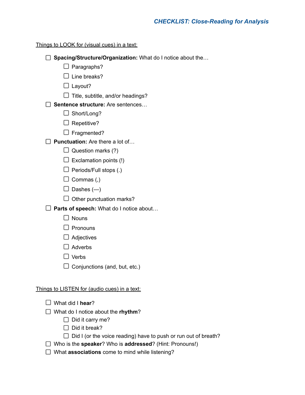#### Things to LOOK for (visual cues) in a text:

- □ Spacing/Structure/Organization: What do I notice about the...
	- $\Box$  Paragraphs?
	- $\square$  Line breaks?
	- $\Box$  Layout?
	- $\Box$  Title, subtitle, and/or headings?

### **Sentence structure:** Are sentences…

- □ Short/Long?
- $\Box$  Repetitive?
- $\Box$  Fragmented?
- **Punctuation:** Are there a lot of…
	- $\Box$  Question marks (?)
	- $\Box$  Exclamation points (!)
	- $\Box$  Periods/Full stops (.)
	- $\Box$  Commas (,)
	- $\Box$  Dashes  $(-)$
	- $\Box$  Other punctuation marks?
- **Parts of speech:** What do I notice about…
	- $\Box$  Nouns
	- $\square$  Pronouns
	- $\Box$  Adjectives
	- $\Box$  Adverbs
	- $\Box$  Verbs
	- $\Box$  Conjunctions (and, but, etc.)

### Things to LISTEN for (audio cues) in a text:

- What did I **hear**?
- What do I notice about the **rhythm**?
	- $\Box$  Did it carry me?
	- $\Box$  Did it break?
	- $\Box$  Did I (or the voice reading) have to push or run out of breath?
- Who is the **speaker**? Who is **addressed**? (Hint: Pronouns!)
- □ What **associations** come to mind while listening?